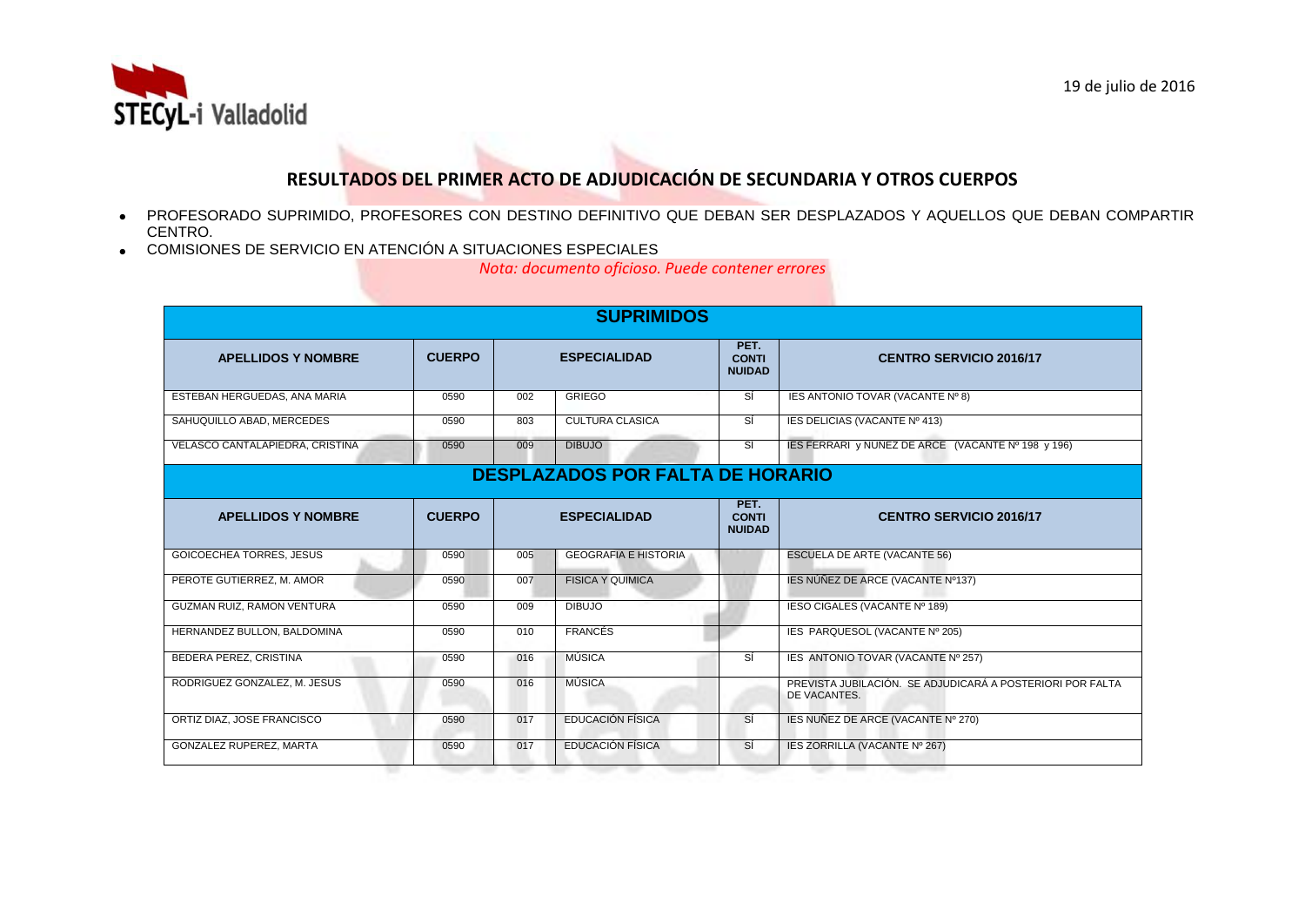



## **RESULTADOS DEL PRIMER ACTO DE ADJUDICACIÓN DE SECUNDARIA Y OTROS CUERPOS**

- PROFESORADO SUPRIMIDO, PROFESORES CON DESTINO DEFINITIVO QUE DEBAN SER DESPLAZADOS Y AQUELLOS QUE DEBAN COMPARTIR CENTRO.
- COMISIONES DE SERVICIO EN ATENCIÓN A SITUACIONES ESPECIALES

*Nota: documento oficioso. Puede contener errores*

| <b>SUPRIMIDOS</b>                               |               |                     |                             |                                       |                                                                           |  |  |
|-------------------------------------------------|---------------|---------------------|-----------------------------|---------------------------------------|---------------------------------------------------------------------------|--|--|
| <b>APELLIDOS Y NOMBRE</b>                       | <b>CUERPO</b> | <b>ESPECIALIDAD</b> |                             | PET.<br><b>CONTI</b><br><b>NUIDAD</b> | <b>CENTRO SERVICIO 2016/17</b>                                            |  |  |
| ESTEBAN HERGUEDAS, ANA MARIA                    | 0590          | 002                 | <b>GRIEGO</b>               | si                                    | IES ANTONIO TOVAR (VACANTE Nº 8)                                          |  |  |
| SAHUQUILLO ABAD, MERCEDES                       | 0590          | 803                 | <b>CULTURA CLASICA</b>      | si                                    | IES DELICIAS (VACANTE Nº 413)                                             |  |  |
| VELASCO CANTALAPIEDRA, CRISTINA                 | 0590          | 009                 | <b>DIBUJO</b>               | SÍ                                    | IES FERRARI y NÚÑEZ DE ARCE (VACANTE Nº 198 y 196)                        |  |  |
| <b>DESPLAZADOS POR FALTA DE HORARIO</b><br>PET. |               |                     |                             |                                       |                                                                           |  |  |
| <b>APELLIDOS Y NOMBRE</b>                       | <b>CUERPO</b> | <b>ESPECIALIDAD</b> |                             | <b>CONTI</b><br><b>NUIDAD</b>         | <b>CENTRO SERVICIO 2016/17</b>                                            |  |  |
| <b>GOICOECHEA TORRES, JESUS</b>                 | 0590          | 005                 | <b>GEOGRAFIA E HISTORIA</b> |                                       | <b>ESCUELA DE ARTE (VACANTE 56)</b>                                       |  |  |
| PEROTE GUTIERREZ, M. AMOR                       | 0590          | 007                 | <b>FISICA Y QUIMICA</b>     |                                       | IES NUNEZ DE ARCE (VACANTE Nº137)                                         |  |  |
| <b>GUZMAN RUIZ, RAMON VENTURA</b>               | 0590          | 009                 | <b>DIBUJO</b>               |                                       | IESO CIGALES (VACANTE Nº 189)                                             |  |  |
| HERNANDEZ BULLON, BALDOMINA                     | 0590          | 010                 | <b>FRANCÉS</b>              |                                       | IES PARQUESOL (VACANTE Nº 205)                                            |  |  |
| BEDERA PEREZ, CRISTINA                          | 0590          | 016                 | <b>MÚSICA</b>               | Ξi                                    | IES ANTONIO TOVAR (VACANTE Nº 257)                                        |  |  |
| RODRIGUEZ GONZALEZ, M. JESUS                    | 0590          | 016                 | <b>MÚSICA</b>               |                                       | PREVISTA JUBILACIÓN. SE ADJUDICARÁ A POSTERIORI POR FALTA<br>DE VACANTES. |  |  |
| ORTIZ DIAZ. JOSE FRANCISCO                      | 0590          | 017                 | <b>EDUCACIÓN FÍSICA</b>     | SÍ                                    | IES NUÑEZ DE ARCE (VACANTE Nº 270)                                        |  |  |
| <b>GONZALEZ RUPEREZ, MARTA</b>                  | 0590          | 017                 | <b>EDUCACIÓN FÍSICA</b>     | -SÍ                                   | IES ZORRILLA (VACANTE Nº 267)                                             |  |  |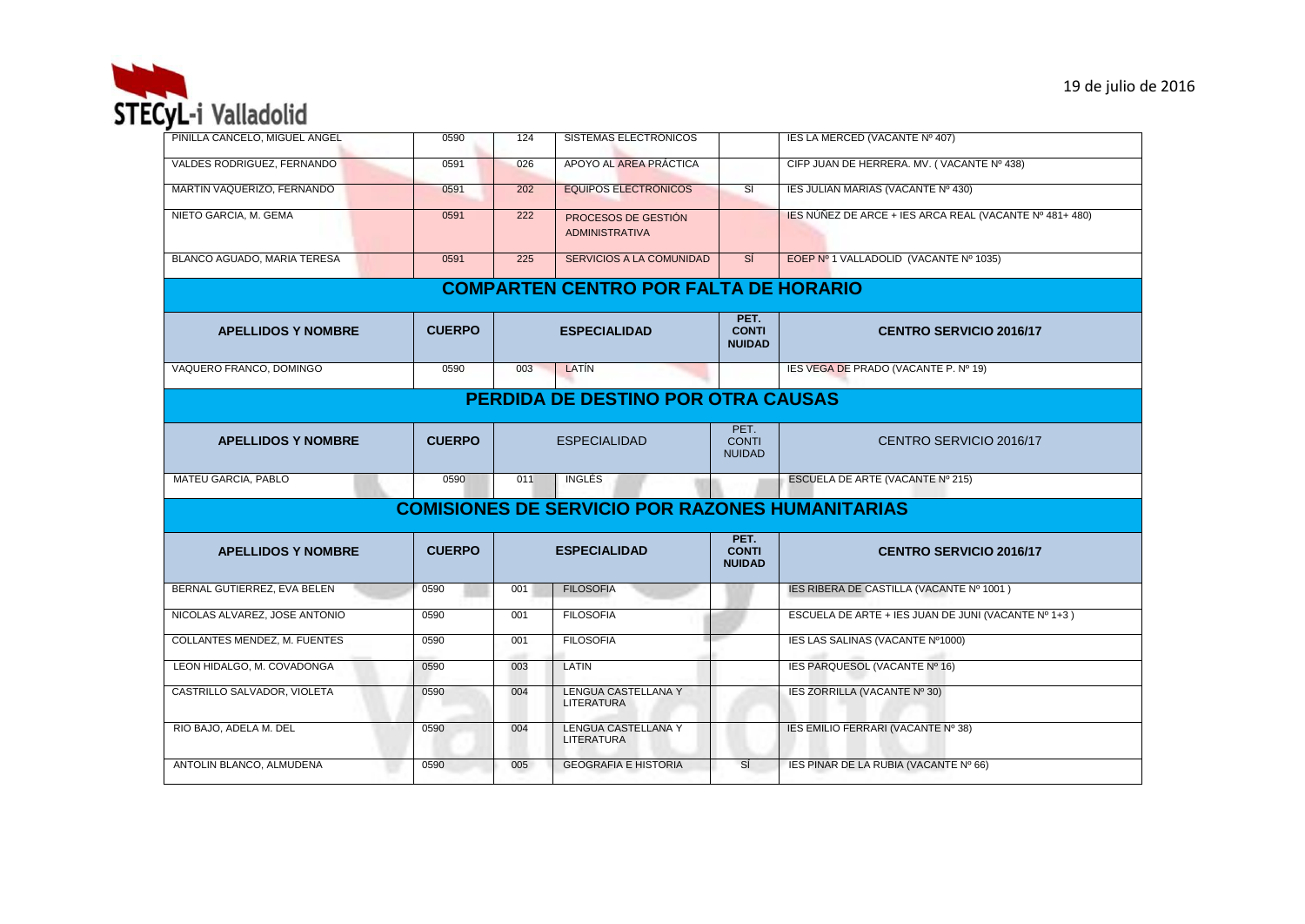

| PINILLA CANCELO, MIGUEL ANGEL                | 0590          | 124                 | SISTEMAS ELECTRÓNICOS                                  |                                       | IES LA MERCED (VACANTE Nº 407)                          |  |  |  |
|----------------------------------------------|---------------|---------------------|--------------------------------------------------------|---------------------------------------|---------------------------------------------------------|--|--|--|
| VALDES RODRIGUEZ, FERNANDO                   | 0591          | 026                 | APOYO AL AREA PRÁCTICA                                 |                                       | CIFP JUAN DE HERRERA. MV. (VACANTE Nº 438)              |  |  |  |
| MARTIN VAQUERIZO, FERNANDO                   | 0591          | 202                 | <b>EQUIPOS ELECTRÓNICOS</b>                            | ΞĪ                                    | IES JULIAN MARIAS (VACANTE Nº 430)                      |  |  |  |
| NIETO GARCIA, M. GEMA                        | 0591          | 222                 | PROCESOS DE GESTIÓN<br><b>ADMINISTRATIVA</b>           |                                       | IES NÚÑEZ DE ARCE + IES ARCA REAL (VACANTE Nº 481+ 480) |  |  |  |
| BLANCO AGUADO, MARIA TERESA                  | 0591          | 225                 | <b>SERVICIOS A LA COMUNIDAD</b>                        | SÍ                                    | EOEP Nº 1 VALLADOLID (VACANTE Nº 1035)                  |  |  |  |
| <b>COMPARTEN CENTRO POR FALTA DE HORARIO</b> |               |                     |                                                        |                                       |                                                         |  |  |  |
| <b>APELLIDOS Y NOMBRE</b>                    | <b>CUERPO</b> |                     | <b>ESPECIALIDAD</b>                                    | PET.<br><b>CONTI</b><br><b>NUIDAD</b> | <b>CENTRO SERVICIO 2016/17</b>                          |  |  |  |
| VAQUERO FRANCO, DOMINGO                      | 0590          | 003                 | LATÍN                                                  |                                       | IES VEGA DE PRADO (VACANTE P. Nº 19)                    |  |  |  |
| <b>PERDIDA DE DESTINO POR OTRA CAUSAS</b>    |               |                     |                                                        |                                       |                                                         |  |  |  |
| <b>APELLIDOS Y NOMBRE</b>                    | <b>CUERPO</b> |                     | <b>ESPECIALIDAD</b>                                    | PET.<br><b>CONTI</b><br><b>NUIDAD</b> | CENTRO SERVICIO 2016/17                                 |  |  |  |
| MATEU GARCIA, PABLO                          | 0590          | 011                 | <b>INGLÉS</b>                                          |                                       | ESCUELA DE ARTE (VACANTE Nº 215)                        |  |  |  |
|                                              |               |                     | <b>COMISIONES DE SERVICIO POR RAZONES HUMANITARIAS</b> |                                       |                                                         |  |  |  |
| <b>APELLIDOS Y NOMBRE</b>                    | <b>CUERPO</b> | <b>ESPECIALIDAD</b> |                                                        | PET.<br><b>CONTI</b><br><b>NUIDAD</b> | <b>CENTRO SERVICIO 2016/17</b>                          |  |  |  |
| BERNAL GUTIERREZ, EVA BELEN                  | 0590          | 001                 | <b>FILOSOFIA</b>                                       |                                       | IES RIBERA DE CASTILLA (VACANTE Nº 1001)                |  |  |  |
| NICOLAS ALVAREZ, JOSE ANTONIO                | 0590          | 001                 | <b>FILOSOFIA</b>                                       |                                       | ESCUELA DE ARTE + IES JUAN DE JUNI (VACANTE Nº 1+3)     |  |  |  |
| <b>COLLANTES MENDEZ, M. FUENTES</b>          | 0590          | 001                 | <b>FILOSOFIA</b>                                       |                                       | IES LAS SALINAS (VACANTE Nº1000)                        |  |  |  |
| LEON HIDALGO, M. COVADONGA                   | 0590          | 003                 | LATIN                                                  |                                       | IES PARQUESOL (VACANTE Nº 16)                           |  |  |  |
| CASTRILLO SALVADOR, VIOLETA                  | 0590          | 004                 | LENGUA CASTELLANA Y<br><b>LITERATURA</b>               |                                       | IES ZORRILLA (VACANTE Nº 30)                            |  |  |  |
| RIO BAJO, ADELA M. DEL                       | 0590          | 004                 | LENGUA CASTELLANA Y<br>LITERATURA                      |                                       | IES EMILIO FERRARI (VACANTE Nº 38)                      |  |  |  |
| ANTOLIN BLANCO, ALMUDENA                     | 0590          | 005                 | <b>GEOGRAFIA E HISTORIA</b>                            | -si                                   | IES PINAR DE LA RUBIA (VACANTE Nº 66)                   |  |  |  |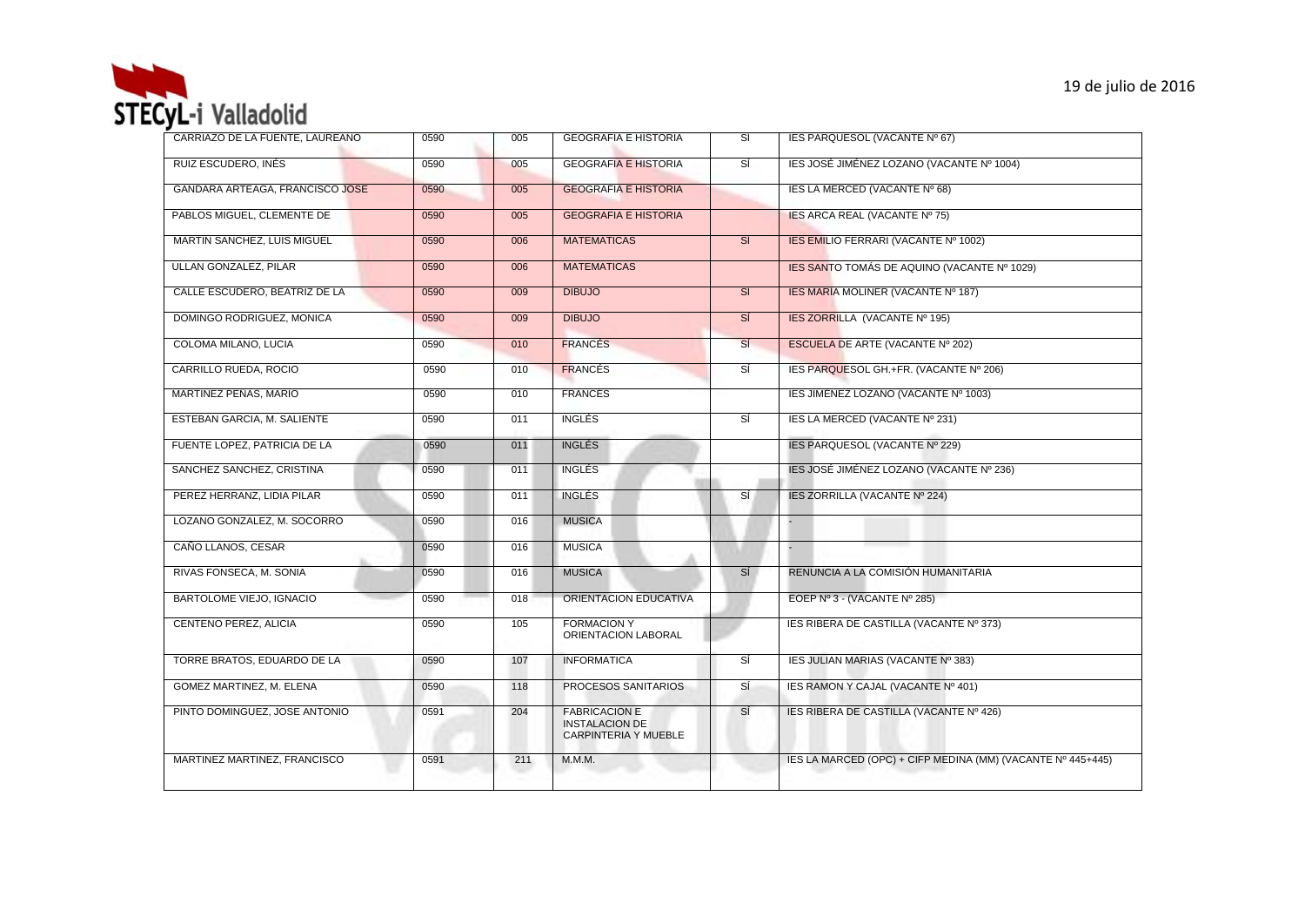

| CARRIAZO DE LA FUENTE. LAUREANO | 0,590 | 005 | <b>GEOGRAFIA E HISTORIA</b>                                                  | SÍ        | IES PARQUESOL (VACANTE Nº 67)                               |
|---------------------------------|-------|-----|------------------------------------------------------------------------------|-----------|-------------------------------------------------------------|
| RUIZ ESCUDERO, INÉS             | 0590  | 005 | <b>GEOGRAFIA E HISTORIA</b>                                                  | si        | IES JOSÉ JIMÉNEZ LOZANO (VACANTE Nº 1004)                   |
| GANDARA ARTEAGA, FRANCISCO JOSE | 0590  | 005 | <b>GEOGRAFIA E HISTORIA</b>                                                  |           | IES LA MERCED (VACANTE Nº 68)                               |
| PABLOS MIGUEL. CLEMENTE DE      | 0590  | 005 | <b>GEOGRAFIA E HISTORIA</b>                                                  |           | <b>IES ARCA REAL (VACANTE Nº 75)</b>                        |
| MARTIN SANCHEZ, LUIS MIGUEL     | 0590  | 006 | <b>MATEMATICAS</b>                                                           | SÍ        | IES EMILIO FERRARI (VACANTE Nº 1002)                        |
| ULLAN GONZALEZ, PILAR           | 0590  | 006 | <b>MATEMATICAS</b>                                                           |           | IES SANTO TOMÁS DE AQUINO (VACANTE Nº 1029)                 |
| CALLE ESCUDERO. BEATRIZ DE LA   | 0590  | 009 | <b>DIBUJO</b>                                                                | <b>SÍ</b> | IES MARÍA MOLINER (VACANTE Nº 187)                          |
| DOMINGO RODRIGUEZ, MONICA       | 0590  | 009 | <b>DIBUJO</b>                                                                | SÍ        | IES ZORRILLA (VACANTE Nº 195)                               |
| COLOMA MILANO, LUCIA            | 0590  | 010 | <b>FRANCES</b>                                                               | <b>SI</b> | ESCUELA DE ARTE (VACANTE Nº 202)                            |
| CARRILLO RUEDA, ROCIO           | 0590  | 010 | <b>FRANCÉS</b>                                                               | SÍ        | IES PARQUESOL GH.+FR. (VACANTE Nº 206)                      |
| MARTINEZ PEÑAS, MARIO           | 0590  | 010 | <b>FRANCES</b>                                                               |           | IES JIMÉNEZ LOZANO (VACANTE Nº 1003)                        |
| ESTEBAN GARCIA, M. SALIENTE     | 0590  | 011 | <b>INGLÉS</b>                                                                | SÍ        | IES LA MERCED (VACANTE Nº 231)                              |
| FUENTE LOPEZ, PATRICIA DE LA    | 0590  | 011 | <b>INGLÉS</b>                                                                |           | <b>IES PARQUESOL (VACANTE Nº 229)</b>                       |
| SANCHEZ SANCHEZ, CRISTINA       | 0590  | 011 | <b>INGLÉS</b>                                                                |           | IES JOSÉ JIMÉNEZ LOZANO (VACANTE Nº 236)                    |
| PEREZ HERRANZ, LIDIA PILAR      | 0590  | 011 | <b>INGLÉS</b>                                                                | SÍ        | <b>IES ZORRILLA (VACANTE Nº 224)</b>                        |
| LOZANO GONZALEZ, M. SOCORRO     | 0590  | 016 | <b>MUSICA</b>                                                                |           |                                                             |
| CAÑO LLANOS, CESAR              | 0590  | 016 | <b>MUSICA</b>                                                                |           |                                                             |
| RIVAS FONSECA, M. SONIA         | 0590  | 016 | <b>MUSICA</b>                                                                | SÍ        | RENUNCIA A LA COMISIÓN HUMANITARIA                          |
| BARTOLOME VIEJO, IGNACIO        | 0590  | 018 | ORIENTACION EDUCATIVA                                                        |           | EOEP Nº 3 - (VACANTE Nº 285)                                |
| <b>CENTENO PEREZ, ALICIA</b>    | 0590  | 105 | <b>FORMACION Y</b><br>ORIENTACION LABORAL                                    |           | IES RIBERA DE CASTILLA (VACANTE Nº 373)                     |
| TORRE BRATOS, EDUARDO DE LA     | 0590  | 107 | <b>INFORMATICA</b>                                                           | SÍ        | IES JULIAN MARIAS (VACANTE Nº 383)                          |
| GOMEZ MARTINEZ, M. ELENA        | 0590  | 118 | PROCESOS SANITARIOS                                                          | SÍ        | IES RAMON Y CAJAL (VACANTE Nº 401)                          |
| PINTO DOMINGUEZ, JOSE ANTONIO   | 0591  | 204 | <b>FABRICACION E</b><br><b>INSTALACION DE</b><br><b>CARPINTERIA Y MUEBLE</b> | SÍ        | IES RIBERA DE CASTILLA (VACANTE Nº 426)                     |
| MARTINEZ MARTINEZ, FRANCISCO    | 0591  | 211 | M.M.M.                                                                       |           | IES LA MARCED (OPC) + CIFP MEDINA (MM) (VACANTE Nº 445+445) |